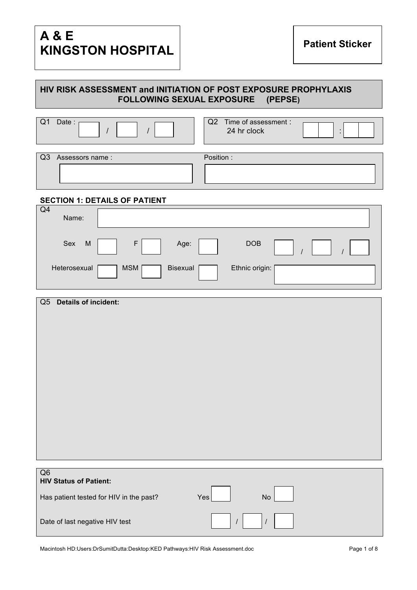# **A & E KINGSTON HOSPITAL**

# **HIV RISK ASSESSMENT and INITIATION OF POST EXPOSURE PROPHYLAXIS FOLLOWING SEXUAL EXPOSURE (PEPSE)**

|            | Date:           | Q2<br>Time of assessment :<br>24 hr clock |
|------------|-----------------|-------------------------------------------|
| $\sqrt{Q}$ | Assessors name: | Position:                                 |
|            |                 |                                           |

### **SECTION 1: DETAILS OF PATIENT**

| Q <sub>4</sub><br>Name: |                                          |  |
|-------------------------|------------------------------------------|--|
| Sex<br>M                | DOB<br>Age:                              |  |
| Heterosexual            | Ethnic origin:<br>Bisexual<br><b>MSM</b> |  |

|    | Q5 Details of incident:                              |
|----|------------------------------------------------------|
|    |                                                      |
|    |                                                      |
|    |                                                      |
|    |                                                      |
|    |                                                      |
|    |                                                      |
|    |                                                      |
|    |                                                      |
|    |                                                      |
|    |                                                      |
|    |                                                      |
| Q6 | <b>HIV Status of Patient:</b>                        |
|    | Has patient tested for HIV in the past?<br>No<br>Yes |
|    |                                                      |

Date of last negative HIV test  $\begin{array}{c|c} | & | & | & | \end{array}$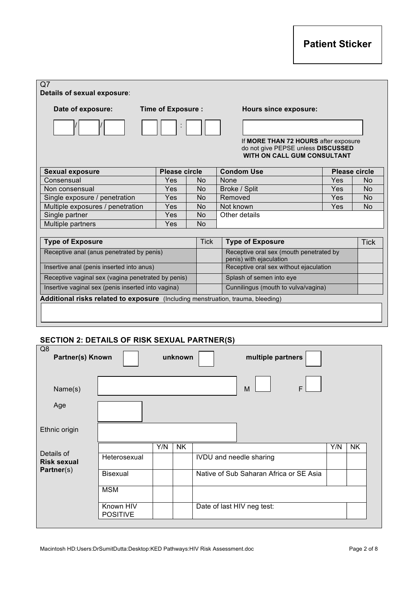| Date of exposure:                                                               | <b>Time of Exposure:</b> |             | <b>Hours since exposure:</b>                                                                              |                      |                |
|---------------------------------------------------------------------------------|--------------------------|-------------|-----------------------------------------------------------------------------------------------------------|----------------------|----------------|
|                                                                                 |                          |             |                                                                                                           |                      |                |
|                                                                                 |                          |             | If MORE THAN 72 HOURS after exposure<br>do not give PEPSE unless DISCUSSED<br>WITH ON CALL GUM CONSULTANT |                      |                |
| <b>Sexual exposure</b>                                                          | <b>Please circle</b>     |             | <b>Condom Use</b>                                                                                         | <b>Please circle</b> |                |
| Consensual                                                                      | Yes                      | <b>No</b>   | None                                                                                                      | Yes                  | <b>No</b>      |
| Non consensual                                                                  | Yes                      | <b>No</b>   | Broke / Split                                                                                             | <b>Yes</b>           | <b>No</b>      |
| Single exposure / penetration                                                   | Yes                      | <b>No</b>   | Removed                                                                                                   | Yes                  | N <sub>o</sub> |
| Multiple exposures / penetration                                                | Yes                      | <b>No</b>   | Not known                                                                                                 | Yes                  | <b>No</b>      |
| Single partner                                                                  | Yes                      | <b>No</b>   | Other details                                                                                             |                      |                |
| Multiple partners                                                               | Yes                      | <b>No</b>   |                                                                                                           |                      |                |
| <b>Type of Exposure</b>                                                         |                          | <b>Tick</b> | <b>Type of Exposure</b>                                                                                   |                      | <b>Tick</b>    |
| Receptive anal (anus penetrated by penis)                                       |                          |             | Receptive oral sex (mouth penetrated by<br>penis) with ejaculation                                        |                      |                |
| Insertive anal (penis inserted into anus)                                       |                          |             | Receptive oral sex without ejaculation                                                                    |                      |                |
| Receptive vaginal sex (vagina penetrated by penis)                              |                          |             | Splash of semen into eye                                                                                  |                      |                |
| Insertive vaginal sex (penis inserted into vagina)                              |                          |             | Cunnilingus (mouth to vulva/vagina)                                                                       |                      |                |
| Additional risks related to exposure (Including menstruation, trauma, bleeding) |                          |             |                                                                                                           |                      |                |
|                                                                                 |                          |             |                                                                                                           |                      |                |
|                                                                                 |                          |             |                                                                                                           |                      |                |
|                                                                                 |                          |             |                                                                                                           |                      |                |

| Q <sub>8</sub><br>Partner(s) Known |                              |     | unknown   |                            | multiple partners                       |   |     |           |
|------------------------------------|------------------------------|-----|-----------|----------------------------|-----------------------------------------|---|-----|-----------|
| Name(s)                            |                              |     |           |                            | M                                       | F |     |           |
| Age                                |                              |     |           |                            |                                         |   |     |           |
| Ethnic origin                      |                              |     |           |                            |                                         |   |     |           |
|                                    |                              | Y/N | <b>NK</b> |                            |                                         |   | Y/N | <b>NK</b> |
| Details of<br><b>Risk sexual</b>   | Heterosexual                 |     |           | IVDU and needle sharing    |                                         |   |     |           |
| Partner(s)                         | <b>Bisexual</b>              |     |           |                            | Native of Sub Saharan Africa or SE Asia |   |     |           |
|                                    | <b>MSM</b>                   |     |           |                            |                                         |   |     |           |
|                                    | Known HIV<br><b>POSITIVE</b> |     |           | Date of last HIV neg test: |                                         |   |     |           |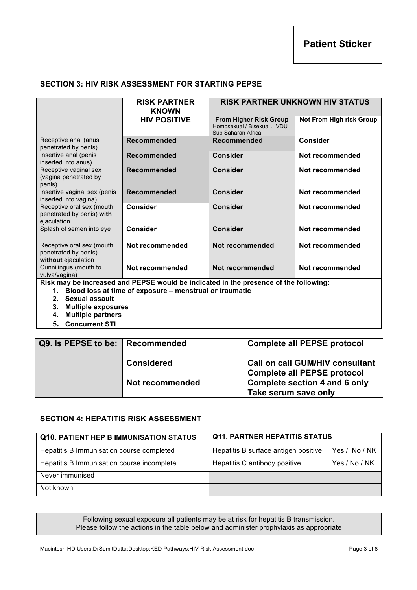# **SECTION 3: HIV RISK ASSESSMENT FOR STARTING PEPSE**

|                                                                          | <b>RISK PARTNER</b><br><b>KNOWN</b>                        | <b>RISK PARTNER UNKNOWN HIV STATUS</b>                                               |                                 |  |  |  |
|--------------------------------------------------------------------------|------------------------------------------------------------|--------------------------------------------------------------------------------------|---------------------------------|--|--|--|
|                                                                          | <b>HIV POSITIVE</b>                                        | <b>From Higher Risk Group</b><br>Homosexual / Bisexual, IVDU<br>Sub Saharan Africa   | <b>Not From High risk Group</b> |  |  |  |
| Receptive anal (anus<br>penetrated by penis)                             | <b>Recommended</b>                                         | Recommended                                                                          | <b>Consider</b>                 |  |  |  |
| Insertive anal (penis<br>inserted into anus)                             | <b>Recommended</b>                                         | Consider                                                                             | Not recommended                 |  |  |  |
| Receptive vaginal sex<br>(vagina penetrated by<br>penis)                 | Recommended                                                | <b>Consider</b>                                                                      | Not recommended                 |  |  |  |
| Insertive vaginal sex (penis<br>inserted into vagina)                    | Recommended                                                | <b>Consider</b>                                                                      | Not recommended                 |  |  |  |
| Receptive oral sex (mouth<br>penetrated by penis) with<br>ejaculation    | <b>Consider</b>                                            | Consider                                                                             | Not recommended                 |  |  |  |
| Splash of semen into eye                                                 | <b>Consider</b>                                            | <b>Consider</b>                                                                      | Not recommended                 |  |  |  |
| Receptive oral sex (mouth<br>penetrated by penis)<br>without ejaculation | Not recommended                                            | Not recommended                                                                      | Not recommended                 |  |  |  |
| Cunnilingus (mouth to<br>vulva/vagina)                                   | Not recommended                                            | Not recommended                                                                      | Not recommended                 |  |  |  |
|                                                                          |                                                            | Risk may be increased and PEPSE would be indicated in the presence of the following: |                                 |  |  |  |
| Sexual assault                                                           | 1. Blood loss at time of exposure - menstrual or traumatic |                                                                                      |                                 |  |  |  |
| 2.                                                                       |                                                            |                                                                                      |                                 |  |  |  |

- 
- **3. Multiple exposures**
- **4. Multiple partners 5. Concurrent STI**

| Q9. Is PEPSE to be: Recommended |                   | <b>Complete all PEPSE protocol</b>                                           |
|---------------------------------|-------------------|------------------------------------------------------------------------------|
|                                 | <b>Considered</b> | <b>Call on call GUM/HIV consultant</b><br><b>Complete all PEPSE protocol</b> |
|                                 | Not recommended   | Complete section 4 and 6 only<br>Take serum save only                        |

### **SECTION 4: HEPATITIS RISK ASSESSMENT**

| <b>Q10. PATIENT HEP B IMMUNISATION STATUS</b> |  | <b>Q11. PARTNER HEPATITIS STATUS</b> |               |  |
|-----------------------------------------------|--|--------------------------------------|---------------|--|
| Hepatitis B Immunisation course completed     |  | Hepatitis B surface antigen positive | Yes / No / NK |  |
| Hepatitis B Immunisation course incomplete    |  | Hepatitis C antibody positive        | Yes / No / NK |  |
| Never immunised                               |  |                                      |               |  |
| Not known                                     |  |                                      |               |  |

Following sexual exposure all patients may be at risk for hepatitis B transmission. Please follow the actions in the table below and administer prophylaxis as appropriate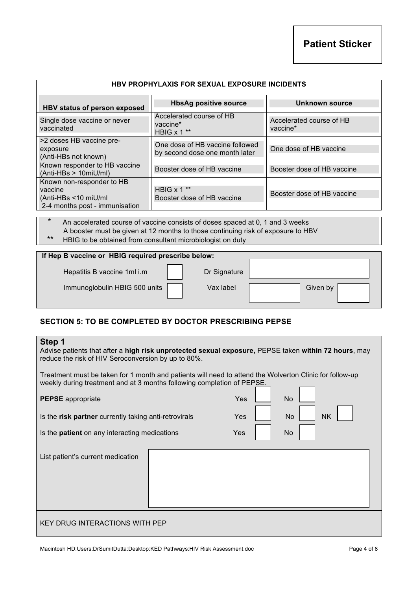| <b>HBV PROPHYLAXIS FOR SEXUAL EXPOSURE INCIDENTS</b>                                            |                                                                   |                                      |  |  |  |  |  |
|-------------------------------------------------------------------------------------------------|-------------------------------------------------------------------|--------------------------------------|--|--|--|--|--|
| HBV status of person exposed                                                                    | <b>HbsAg positive source</b>                                      | Unknown source                       |  |  |  |  |  |
| Single dose vaccine or never<br>vaccinated                                                      | Accelerated course of HB<br>vaccine*<br>HBIG x 1 **               | Accelerated course of HB<br>vaccine* |  |  |  |  |  |
| >2 doses HB vaccine pre-<br>exposure<br>(Anti-HBs not known)                                    | One dose of HB vaccine followed<br>by second dose one month later | One dose of HB vaccine               |  |  |  |  |  |
| Known responder to HB vaccine<br>$(Anti-HBs > 10miU/ml)$                                        | Booster dose of HB vaccine                                        | Booster dose of HB vaccine           |  |  |  |  |  |
| Known non-responder to HB<br>vaccine<br>(Anti-HBs <10 miU/ml)<br>2-4 months post - immunisation | HBIG $x 1$ **<br>Booster dose of HB vaccine                       | Booster dose of HB vaccine           |  |  |  |  |  |

An accelerated course of vaccine consists of doses spaced at 0, 1 and 3 weeks A booster must be given at 12 months to those continuing risk of exposure to HBV<br>A HEIG to be obtained from consultant microbiologist on duty.

HBIG to be obtained from consultant microbiologist on duty

### **If Hep B vaccine or HBIG required prescribe below:**

Hepatitis B vaccine 1ml i.m | | Dr Signature

Immunoglobulin HBIG 500 units Vax label Vax label Given by

# **SECTION 5: TO BE COMPLETED BY DOCTOR PRESCRIBING PEPSE**

### **Step 1**

Advise patients that after a **high risk unprotected sexual exposure,** PEPSE taken **within 72 hours**, may reduce the risk of HIV Seroconversion by up to 80%.

Treatment must be taken for 1 month and patients will need to attend the Wolverton Clinic for follow-up weekly during treatment and at 3 months following completion of PEPSE.

| <b>PEPSE</b> appropriate                              | Yes | <b>No</b> |           |
|-------------------------------------------------------|-----|-----------|-----------|
| Is the risk partner currently taking anti-retrovirals | Yes | No        | <b>NK</b> |
| Is the <b>patient</b> on any interacting medications  | Yes | <b>No</b> |           |
| List patient's current medication                     |     |           |           |
| <b>KEY DRUG INTERACTIONS WITH PEP</b>                 |     |           |           |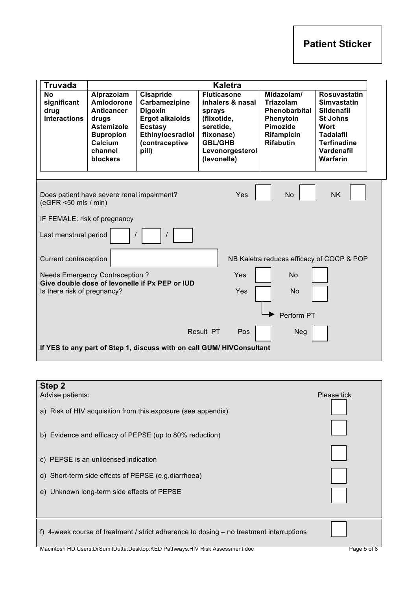| <b>Truvada</b>                                                       |                                                                                                        |                                                                                         | <b>Kaletra</b>                                                                             |                                                                       |                                                                                                    |  |  |  |  |
|----------------------------------------------------------------------|--------------------------------------------------------------------------------------------------------|-----------------------------------------------------------------------------------------|--------------------------------------------------------------------------------------------|-----------------------------------------------------------------------|----------------------------------------------------------------------------------------------------|--|--|--|--|
| <b>No</b><br>significant<br>drug                                     | Alprazolam<br>Amiodorone<br><b>Anticancer</b>                                                          | Cisapride<br>Carbamezipine<br><b>Digoxin</b>                                            | <b>Fluticasone</b><br>inhalers & nasal<br>sprays                                           | Midazolam/<br>Triazolam<br><b>Phenobarbital</b>                       | <b>Rosuvastatin</b><br><b>Simvastatin</b><br><b>Sildenafil</b>                                     |  |  |  |  |
| <b>interactions</b>                                                  | drugs<br><b>Astemizole</b><br><b>Bupropion</b><br>Calcium<br>channel<br>blockers                       | <b>Ergot alkaloids</b><br><b>Ecstasy</b><br>Ethinyloesradiol<br>(contraceptive<br>pill) | (flixotide,<br>seretide,<br>flixonase)<br><b>GBL/GHB</b><br>Levonorgesterol<br>(levonelle) | Phenytoin<br><b>Pimozide</b><br><b>Rifampicin</b><br><b>Rifabutin</b> | <b>St Johns</b><br>Wort<br><b>Tadalafil</b><br><b>Terfinadine</b><br>Vardenafil<br><b>Warfarin</b> |  |  |  |  |
|                                                                      | <b>NK</b><br>Yes<br><b>No</b><br>Does patient have severe renal impairment?<br>$(eGFR < 50$ mls / min) |                                                                                         |                                                                                            |                                                                       |                                                                                                    |  |  |  |  |
| IF FEMALE: risk of pregnancy                                         |                                                                                                        |                                                                                         |                                                                                            |                                                                       |                                                                                                    |  |  |  |  |
| Last menstrual period                                                |                                                                                                        |                                                                                         |                                                                                            |                                                                       |                                                                                                    |  |  |  |  |
| Current contraception                                                |                                                                                                        |                                                                                         |                                                                                            | NB Kaletra reduces efficacy of COCP & POP                             |                                                                                                    |  |  |  |  |
| Is there risk of pregnancy?                                          | <b>Needs Emergency Contraception?</b>                                                                  | Give double dose of levonelle if Px PEP or IUD                                          | Yes<br>Yes                                                                                 | <b>No</b><br>No                                                       |                                                                                                    |  |  |  |  |
|                                                                      |                                                                                                        |                                                                                         |                                                                                            | Perform PT                                                            |                                                                                                    |  |  |  |  |
|                                                                      |                                                                                                        |                                                                                         | Result PT<br>Pos                                                                           | <b>Neg</b>                                                            |                                                                                                    |  |  |  |  |
| If YES to any part of Step 1, discuss with on call GUM/HIVConsultant |                                                                                                        |                                                                                         |                                                                                            |                                                                       |                                                                                                    |  |  |  |  |

| Step 2<br>Advise patients:<br>a) Risk of HIV acquisition from this exposure (see appendix)      | Please tick |
|-------------------------------------------------------------------------------------------------|-------------|
| b) Evidence and efficacy of PEPSE (up to 80% reduction)<br>c) PEPSE is an unlicensed indication |             |
| d) Short-term side effects of PEPSE (e.g.diarrhoea)                                             |             |
| e) Unknown long-term side effects of PEPSE                                                      |             |
| f) 4-week course of treatment / strict adherence to dosing – no treatment interruptions         |             |
| Macintosh HD: Users: DrSumitDutta: Desktop: KED Pathways: HIV Risk Assessment.doc               | Page 5 of 8 |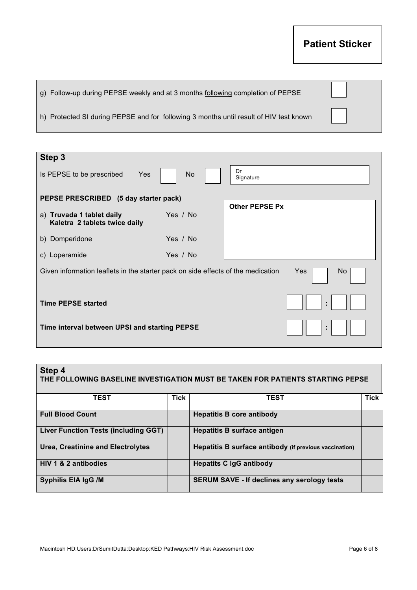# **Patient Sticker**

| g) Follow-up during PEPSE weekly and at 3 months following completion of PEPSE         |  |
|----------------------------------------------------------------------------------------|--|
| h) Protected SI during PEPSE and for following 3 months until result of HIV test known |  |

| Step 3                                                                                         |           |                       |  |  |
|------------------------------------------------------------------------------------------------|-----------|-----------------------|--|--|
| Is PEPSE to be prescribed<br>Yes                                                               | <b>No</b> | Dr<br>Signature       |  |  |
| PEPSE PRESCRIBED (5 day starter pack)                                                          |           |                       |  |  |
| a) Truvada 1 tablet daily<br>Kaletra 2 tablets twice daily                                     | Yes / No  | <b>Other PEPSE Px</b> |  |  |
| b) Domperidone                                                                                 | Yes / No  |                       |  |  |
| c) Loperamide                                                                                  | Yes / No  |                       |  |  |
| Given information leaflets in the starter pack on side effects of the medication<br>Yes<br>No. |           |                       |  |  |
| <b>Time PEPSE started</b><br>÷                                                                 |           |                       |  |  |
| Time interval between UPSI and starting PEPSE<br>÷                                             |           |                       |  |  |

# **Step 4 THE FOLLOWING BASELINE INVESTIGATION MUST BE TAKEN FOR PATIENTS STARTING PEPSE**

| <b>TEST</b>                                 | Tick | <b>TEST</b>                                            | <b>Tick</b> |
|---------------------------------------------|------|--------------------------------------------------------|-------------|
| <b>Full Blood Count</b>                     |      | <b>Hepatitis B core antibody</b>                       |             |
| <b>Liver Function Tests (including GGT)</b> |      | <b>Hepatitis B surface antigen</b>                     |             |
| <b>Urea, Creatinine and Electrolytes</b>    |      | Hepatitis B surface antibody (if previous vaccination) |             |
| HIV 1 & 2 antibodies                        |      | <b>Hepatits C IgG antibody</b>                         |             |
| Syphilis EIA IgG /M                         |      | <b>SERUM SAVE - If declines any serology tests</b>     |             |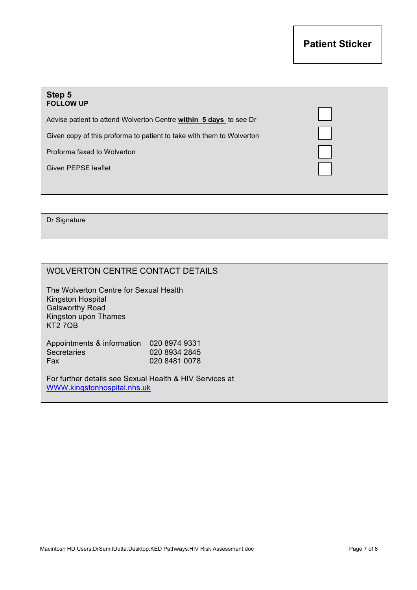| Step 5<br><b>FOLLOW UP</b>                                            |  |
|-----------------------------------------------------------------------|--|
| Advise patient to attend Wolverton Centre within 5 days to see Dr     |  |
| Given copy of this proforma to patient to take with them to Wolverton |  |
| Proforma faxed to Wolverton                                           |  |
| Given PEPSE leaflet                                                   |  |
|                                                                       |  |

Dr Signature

# WOLVERTON CENTRE CONTACT DETAILS

The Wolverton Centre for Sexual Health Kingston Hospital Galsworthy Road Kingston upon Thames KT2 7QB

Appointments & information 020 8974 9331 Secretaries 020 8934 2845<br>Fax 020 8481 0078 020 8481 0078

For further details see Sexual Health & HIV Services at WWW.kingstonhospital.nhs.uk